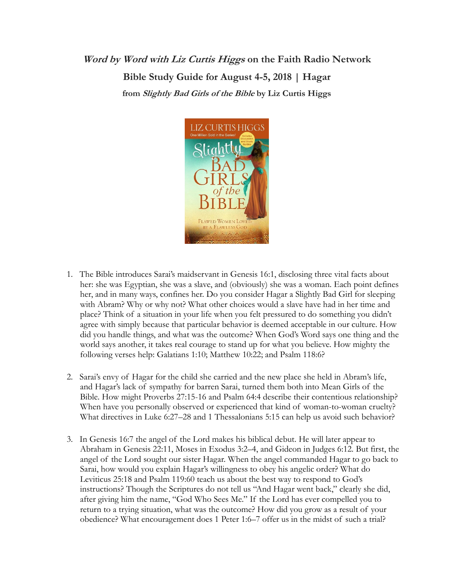**Word by Word with Liz Curtis Higgs on the Faith Radio Network Bible Study Guide for August 4-5, 2018 | Hagar from Slightly Bad Girls of the Bible by Liz Curtis Higgs**



- 1. The Bible introduces Sarai's maidservant in Genesis 16:1, disclosing three vital facts about her: she was Egyptian, she was a slave, and (obviously) she was a woman. Each point defines her, and in many ways, confines her. Do you consider Hagar a Slightly Bad Girl for sleeping with Abram? Why or why not? What other choices would a slave have had in her time and place? Think of a situation in your life when you felt pressured to do something you didn't agree with simply because that particular behavior is deemed acceptable in our culture. How did you handle things, and what was the outcome? When God's Word says one thing and the world says another, it takes real courage to stand up for what you believe. How mighty the following verses help: Galatians 1:10; Matthew 10:22; and Psalm 118:6?
- 2. Sarai's envy of Hagar for the child she carried and the new place she held in Abram's life, and Hagar's lack of sympathy for barren Sarai, turned them both into Mean Girls of the Bible. How might Proverbs 27:15-16 and Psalm 64:4 describe their contentious relationship? When have you personally observed or experienced that kind of woman-to-woman cruelty? What directives in Luke 6:27–28 and 1 Thessalonians 5:15 can help us avoid such behavior?
- 3. In Genesis 16:7 the angel of the Lord makes his biblical debut. He will later appear to Abraham in Genesis 22:11, Moses in Exodus 3:2–4, and Gideon in Judges 6:12. But first, the angel of the Lord sought our sister Hagar. When the angel commanded Hagar to go back to Sarai, how would you explain Hagar's willingness to obey his angelic order? What do Leviticus 25:18 and Psalm 119:60 teach us about the best way to respond to God's instructions? Though the Scriptures do not tell us "And Hagar went back," clearly she did, after giving him the name, "God Who Sees Me." If the Lord has ever compelled you to return to a trying situation, what was the outcome? How did you grow as a result of your obedience? What encouragement does 1 Peter 1:6–7 offer us in the midst of such a trial?